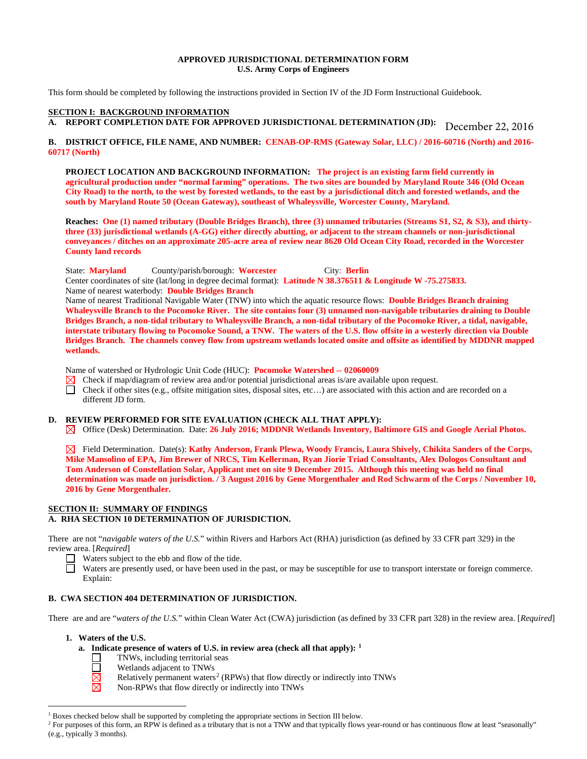### **APPROVED JURISDICTIONAL DETERMINATION FORM U.S. Army Corps of Engineers**

This form should be completed by following the instructions provided in Section IV of the JD Form Instructional Guidebook.

### **SECTION I: BACKGROUND INFORMATION**

**A. REPORT COMPLETION DATE FOR APPROVED JURISDICTIONAL DETERMINATION (JD):**  December 22, 2016

# **B. DISTRICT OFFICE, FILE NAME, AND NUMBER: CENAB-OP-RMS (Gateway Solar, LLC) / 2016-60716 (North) and 2016- 60717 (North)**

**PROJECT LOCATION AND BACKGROUND INFORMATION: The project is an existing farm field currently in agricultural production under "normal farming" operations. The two sites are bounded by Maryland Route 346 (Old Ocean City Road) to the north, to the west by forested wetlands, to the east by a jurisdictional ditch and forested wetlands, and the south by Maryland Route 50 (Ocean Gateway), southeast of Whaleysville, Worcester County, Maryland.** 

**Reaches: One (1) named tributary (Double Bridges Branch), three (3) unnamed tributaries (Streams S1, S2, & S3), and thirtythree (33) jurisdictional wetlands (A-GG) either directly abutting, or adjacent to the stream channels or non-jurisdictional conveyances / ditches on an approximate 205-acre area of review near 8620 Old Ocean City Road, recorded in the Worcester County land records** 

State: **Maryland** County/parish/borough: **Worcester** City: **Berlin** Center coordinates of site (lat/long in degree decimal format): **Latitude N 38.376511 & Longitude W -75.275833.**  Name of nearest waterbody: **Double Bridges Branch** 

Name of nearest Traditional Navigable Water (TNW) into which the aquatic resource flows: **Double Bridges Branch draining Whaleysville Branch to the Pocomoke River. The site contains four (3) unnamed non-navigable tributaries draining to Double Bridges Branch, a non-tidal tributary to Whaleysville Branch, a non-tidal tributary of the Pocomoke River, a tidal, navigable, interstate tributary flowing to Pocomoke Sound, a TNW. The waters of the U.S. flow offsite in a westerly direction via Double Bridges Branch. The channels convey flow from upstream wetlands located onsite and offsite as identified by MDDNR mapped wetlands.** 

Name of watershed or Hydrologic Unit Code (HUC): **Pocomoke Watershed -- 02060009**<br>
⊠ Check if map/diagram of review area and/or potential jurisdictional areas is/are availa<br>
□ Check if other sites (e.g., offsite mitigatio

Check if map/diagram of review area and/or potential jurisdictional areas is/are available upon request.

Check if other sites (e.g., offsite mitigation sites, disposal sites, etc…) are associated with this action and are recorded on a different JD form.

#### **D. REVIEW PERFORMED FOR SITE EVALUATION (CHECK ALL THAT APPLY):**

Office (Desk) Determination. Date: **26 July 2016; MDDNR Wetlands Inventory, Baltimore GIS and Google Aerial Photos.**

Field Determination. Date(s): **Kathy Anderson, Frank Plewa, Woody Francis, Laura Shively, Chikita Sanders of the Corps, Mike Mansolino of EPA, Jim Brewer of NRCS, Tim Kellerman, Ryan Jiorie Triad Consultants, Alex Dologos Consultant and Tom Anderson of Constellation Solar, Applicant met on site 9 December 2015. Although this meeting was held no final determination was made on jurisdiction. / 3 August 2016 by Gene Morgenthaler and Rod Schwarm of the Corps / November 10, 2016 by Gene Morgenthaler.** 

# **SECTION II: SUMMARY OF FINDINGS**

# **A. RHA SECTION 10 DETERMINATION OF JURISDICTION.**

There are not "*navigable waters of the U.S.*" within Rivers and Harbors Act (RHA) jurisdiction (as defined by 33 CFR part 329) in the review area. [*Required*]

- Waters subject to the ebb and flow of the tide.
- Waters are presently used, or have been used in the past, or may be susceptible for use to transport interstate or foreign commerce. Explain:

# **B. CWA SECTION 404 DETERMINATION OF JURISDICTION.**

There are and are "*waters of the U.S.*" within Clean Water Act (CWA) jurisdiction (as defined by 33 CFR part 328) in the review area. [*Required*]

**1. Waters of the U.S.**

- **a. Indicate presence of waters of U.S. in review area (check all that apply): [1](#page-0-0)**
	- TNWs, including territorial seas
		- Wetlands adjacent to TNWs
	- $\overline{\Xi}$ Relatively permanent waters<sup>2</sup> (RPWs) that flow directly or indirectly into TNWs
	- 岗 Non-RPWs that flow directly or indirectly into TNWs

<sup>&</sup>lt;sup>1</sup> Boxes checked below shall be supported by completing the appropriate sections in Section III below.

<span id="page-0-1"></span><span id="page-0-0"></span><sup>&</sup>lt;sup>2</sup> For purposes of this form, an RPW is defined as a tributary that is not a TNW and that typically flows year-round or has continuous flow at least "seasonally" (e.g., typically 3 months).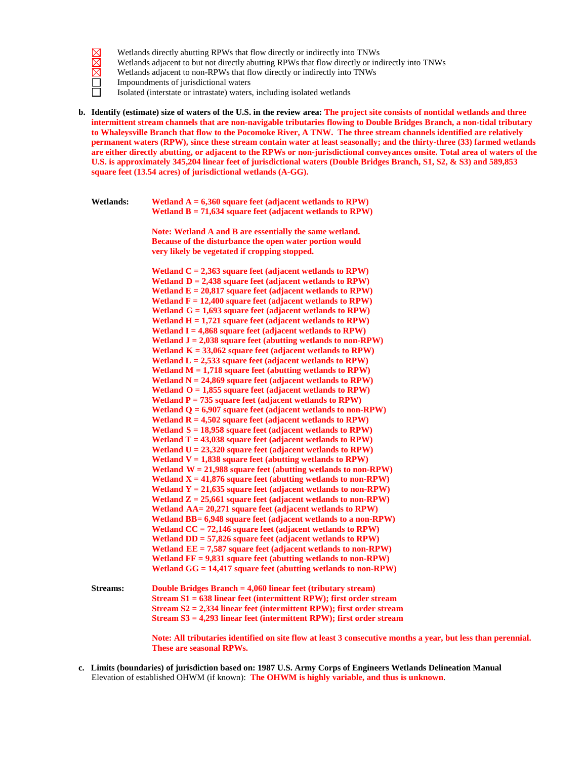- $\boxtimes$  $\boxtimes$  $\overline{\boxtimes}$  $\Box$
- Wetlands directly abutting RPWs that flow directly or indirectly into TNWs
- Wetlands adjacent to but not directly abutting RPWs that flow directly or indirectly into TNWs
- Wetlands adjacent to non-RPWs that flow directly or indirectly into TNWs
- Impoundments of jurisdictional waters
- ñ Isolated (interstate or intrastate) waters, including isolated wetlands
- **b. Identify (estimate) size of waters of the U.S. in the review area: The project site consists of nontidal wetlands and three intermittent stream channels that are non-navigable tributaries flowing to Double Bridges Branch, a non-tidal tributary to Whaleysville Branch that flow to the Pocomoke River, A TNW. The three stream channels identified are relatively permanent waters (RPW), since these stream contain water at least seasonally; and the thirty-three (33) farmed wetlands are either directly abutting, or adjacent to the RPWs or non-jurisdictional conveyances onsite. Total area of waters of the U.S. is approximately 345,204 linear feet of jurisdictional waters (Double Bridges Branch, S1, S2, & S3) and 589,853 square feet (13.54 acres) of jurisdictional wetlands (A-GG).**

| <b>Wetlands:</b> | Wetland $A = 6,360$ square feet (adjacent wetlands to RPW)  |
|------------------|-------------------------------------------------------------|
|                  | Wetland $B = 71,634$ square feet (adjacent wetlands to RPW) |

**Note: Wetland A and B are essentially the same wetland. Because of the disturbance the open water portion would very likely be vegetated if cropping stopped.**

**Wetland C = 2,363 square feet (adjacent wetlands to RPW) Wetland**  $D = 2,438$  **square feet** (adjacent **wetlands** to **RPW**) **Wetland E = 20,817 square feet (adjacent wetlands to RPW) Wetland F = 12,400 square feet (adjacent wetlands to RPW) Wetland G = 1,693 square feet (adjacent wetlands to RPW) Wetland H = 1,721 square feet (adjacent wetlands to RPW) Wetland I = 4,868 square feet (adjacent wetlands to RPW) Wetland J = 2,038 square feet (abutting wetlands to non-RPW) Wetland K = 33,062 square feet (adjacent wetlands to RPW) Wetland L = 2,533 square feet (adjacent wetlands to RPW) Wetland M = 1,718 square feet (abutting wetlands to RPW) Wetland N = 24,869 square feet (adjacent wetlands to RPW) Wetland O = 1,855 square feet (adjacent wetlands to RPW) Wetland P = 735 square feet (adjacent wetlands to RPW) Wetland Q = 6,907 square feet (adjacent wetlands to non-RPW) Wetland R = 4,502 square feet (adjacent wetlands to RPW) Wetland S = 18,958 square feet (adjacent wetlands to RPW) Wetland T = 43,038 square feet (adjacent wetlands to RPW) Wetland U = 23,320 square feet (adjacent wetlands to RPW) Wetland V** =  $1,838$  **square feet (abutting wetlands to RPW) Wetland W = 21,988 square feet (abutting wetlands to non-RPW) Wetland X = 41,876 square feet (abutting wetlands to non-RPW) Wetland Y = 21,635 square feet (adjacent wetlands to non-RPW) Wetland Z = 25,661 square feet (adjacent wetlands to non-RPW) Wetland AA= 20,271 square feet (adjacent wetlands to RPW) Wetland BB= 6,948 square feet (adjacent wetlands to a non-RPW) Wetland CC = 72,146 square feet (adjacent wetlands to RPW) Wetland DD = 57,826 square feet (adjacent wetlands to RPW) Wetland EE = 7,587 square feet (adjacent wetlands to non-RPW) Wetland FF = 9,831 square feet (abutting wetlands to non-RPW) Wetland GG = 14,417 square feet (abutting wetlands to non-RPW)**

**Streams: Double Bridges Branch = 4,060 linear feet (tributary stream) Stream S1 = 638 linear feet (intermittent RPW); first order stream Stream S2 = 2,334 linear feet (intermittent RPW); first order stream Stream S3 = 4,293 linear feet (intermittent RPW); first order stream**

> **Note: All tributaries identified on site flow at least 3 consecutive months a year, but less than perennial. These are seasonal RPWs.**

 **c. Limits (boundaries) of jurisdiction based on: 1987 U.S. Army Corps of Engineers Wetlands Delineation Manual** Elevation of established OHWM (if known): **The OHWM is highly variable, and thus is unknown**.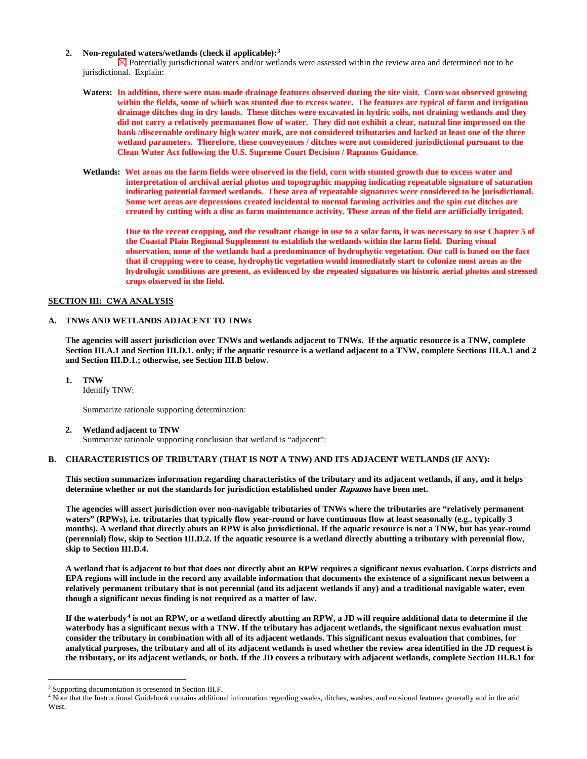#### **2. Non-regulated waters/wetlands (check if applicable):[3](#page-2-0)**

 $\boxtimes$  Potentially jurisdictional waters and/or wetlands were assessed within the review area and determined not to be jurisdictional. Explain:

- **Waters: In addition, there were man-made drainage features observed during the site visit. Corn was observed growing within the fields, some of which was stunted due to excess water. The features are typical of farm and irrigation drainage ditches dug in dry lands. These ditches were excavated in hydric soils, not draining wetlands and they did not carry a relatively permananet flow of water. They did not exhibit a clear, natural line impressed on the bank /discernable ordinary high water mark, are not considered tributaries and lacked at least one of the three wetland parameters. Therefore, these conveyences / ditches were not considered jurisdictional pursuant to the Clean Water Act following the U.S. Supreme Court Decision / Rapanos Guidance.**
- **Wetlands: Wet areas on the farm fields were observed in the field, corn with stunted growth due to excess water and interpretation of archival aerial photos and topographic mapping indicating repeatable signature of saturation indicating potential farmed wetlands. These area of repeatable signatures were considered to be jurisdictional. Some wet areas are depressions created incidental to normal farming activities and the spin cut ditches are created by cutting with a disc as farm maintenance activity. These areas of the field are artificially irrigated.**

**Due to the recent cropping, and the resultant change in use to a solar farm, it was necessary to use Chapter 5 of the Coastal Plain Regional Supplement to establish the wetlands within the farm field. During visual observation, none of the wetlands had a predominance of hydrophytic vegetation. Our call is based on the fact that if cropping were to cease, hydrophytic vegetation would immediately start to colonize most areas as the hydrologic conditions are present, as evidenced by the repeated signatures on historic aerial photos and stressed crops observed in the field.**

### **SECTION III: CWA ANALYSIS**

### **A. TNWs AND WETLANDS ADJACENT TO TNWs**

**The agencies will assert jurisdiction over TNWs and wetlands adjacent to TNWs. If the aquatic resource is a TNW, complete Section III.A.1 and Section III.D.1. only; if the aquatic resource is a wetland adjacent to a TNW, complete Sections III.A.1 and 2 and Section III.D.1.; otherwise, see Section III.B below**.

**1. TNW** 

Identify TNW:

Summarize rationale supporting determination:

**2. Wetland adjacent to TNW** 

Summarize rationale supporting conclusion that wetland is "adjacent":

# **B. CHARACTERISTICS OF TRIBUTARY (THAT IS NOT A TNW) AND ITS ADJACENT WETLANDS (IF ANY):**

**This section summarizes information regarding characteristics of the tributary and its adjacent wetlands, if any, and it helps determine whether or not the standards for jurisdiction established under Rapanos have been met.** 

**The agencies will assert jurisdiction over non-navigable tributaries of TNWs where the tributaries are "relatively permanent waters" (RPWs), i.e. tributaries that typically flow year-round or have continuous flow at least seasonally (e.g., typically 3 months). A wetland that directly abuts an RPW is also jurisdictional. If the aquatic resource is not a TNW, but has year-round (perennial) flow, skip to Section III.D.2. If the aquatic resource is a wetland directly abutting a tributary with perennial flow, skip to Section III.D.4.** 

**A wetland that is adjacent to but that does not directly abut an RPW requires a significant nexus evaluation. Corps districts and EPA regions will include in the record any available information that documents the existence of a significant nexus between a relatively permanent tributary that is not perennial (and its adjacent wetlands if any) and a traditional navigable water, even though a significant nexus finding is not required as a matter of law.**

**If the waterbody[4](#page-2-1) is not an RPW, or a wetland directly abutting an RPW, a JD will require additional data to determine if the waterbody has a significant nexus with a TNW. If the tributary has adjacent wetlands, the significant nexus evaluation must consider the tributary in combination with all of its adjacent wetlands. This significant nexus evaluation that combines, for analytical purposes, the tributary and all of its adjacent wetlands is used whether the review area identified in the JD request is the tributary, or its adjacent wetlands, or both. If the JD covers a tributary with adjacent wetlands, complete Section III.B.1 for** 

<span id="page-2-0"></span><sup>&</sup>lt;sup>3</sup> Supporting documentation is presented in Section III.F.

<span id="page-2-1"></span><sup>4</sup> Note that the Instructional Guidebook contains additional information regarding swales, ditches, washes, and erosional features generally and in the arid West.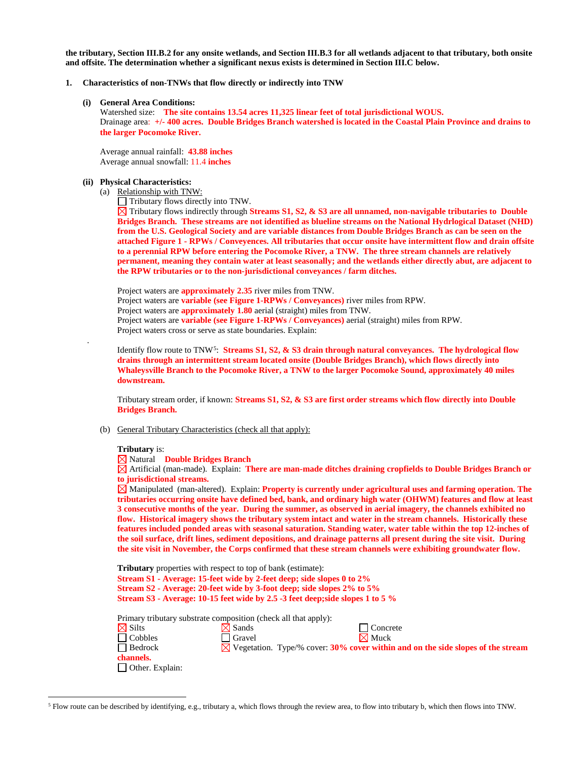**the tributary, Section III.B.2 for any onsite wetlands, and Section III.B.3 for all wetlands adjacent to that tributary, both onsite and offsite. The determination whether a significant nexus exists is determined in Section III.C below.**

#### **1. Characteristics of non-TNWs that flow directly or indirectly into TNW**

#### **(i) General Area Conditions:**

 Watershed size: **The site contains 13.54 acres 11,325 linear feet of total jurisdictional WOUS.** Drainage area: **+/- 400 acres. Double Bridges Branch watershed is located in the Coastal Plain Province and drains to the larger Pocomoke River.**

Average annual rainfall: **43.88 inches**  Average annual snowfall: 11.4 **inches**

#### **(ii) Physical Characteristics:**

(a) Relationship with TNW:

Tributary flows directly into TNW.

Tributary flows indirectly through **Streams S1, S2, & S3 are all unnamed, non-navigable tributaries to Double Bridges Branch. These streams are not identified as blueline streams on the National Hydrlogical Dataset (NHD) from the U.S. Geological Society and are variable distances from Double Bridges Branch as can be seen on the attached Figure 1 - RPWs / Conveyences. All tributaries that occur onsite have intermittent flow and drain offsite to a perennial RPW before entering the Pocomoke River, a TNW. The three stream channels are relatively permanent, meaning they contain water at least seasonally; and the wetlands either directly abut, are adjacent to the RPW tributaries or to the non-jurisdictional conveyances / farm ditches.**

Project waters are **approximately 2.35** river miles from TNW. Project waters are **variable (see Figure 1-RPWs / Conveyances)** river miles from RPW. Project waters are **approximately 1.80** aerial (straight) miles from TNW. Project waters are **variable (see Figure 1-RPWs / Conveyances)** aerial (straight) miles from RPW. Project waters cross or serve as state boundaries. Explain:

Identify flow route to TNW[5:](#page-3-0) **Streams S1, S2, & S3 drain through natural conveyances. The hydrological flow drains through an intermittent stream located onsite (Double Bridges Branch), which flows directly into Whaleysville Branch to the Pocomoke River, a TNW to the larger Pocomoke Sound, approximately 40 miles downstream.** 

Tributary stream order, if known: **Streams S1, S2, & S3 are first order streams which flow directly into Double Bridges Branch.** 

(b) General Tributary Characteristics (check all that apply):

#### **Tributary** is:

.

Natural **Double Bridges Branch**

Artificial (man-made). Explain: **There are man-made ditches draining cropfields to Double Bridges Branch or to jurisdictional streams.**

Manipulated (man-altered). Explain: **Property is currently under agricultural uses and farming operation. The tributaries occurring onsite have defined bed, bank, and ordinary high water (OHWM) features and flow at least 3 consecutive months of the year. During the summer, as observed in aerial imagery, the channels exhibited no flow. Historical imagery shows the tributary system intact and water in the stream channels. Historically these features included ponded areas with seasonal saturation. Standing water, water table within the top 12-inches of the soil surface, drift lines, sediment depositions, and drainage patterns all present during the site visit. During the site visit in November, the Corps confirmed that these stream channels were exhibiting groundwater flow.**

| <b>Tributary</b> properties with respect to top of bank (estimate):               |                   |  |                                                                                             |  |  |  |
|-----------------------------------------------------------------------------------|-------------------|--|---------------------------------------------------------------------------------------------|--|--|--|
| Stream S1 - Average: 15-feet wide by 2-feet deep; side slopes 0 to 2%             |                   |  |                                                                                             |  |  |  |
| Stream S2 - Average: 20-feet wide by 3-foot deep; side slopes 2% to 5%            |                   |  |                                                                                             |  |  |  |
| Stream S3 - Average: 10-15 feet wide by 2.5 -3 feet deep; side slopes 1 to 5 $\%$ |                   |  |                                                                                             |  |  |  |
| Primary tributary substrate composition (check all that apply):                   |                   |  |                                                                                             |  |  |  |
| $\boxtimes$ Silts                                                                 | $\boxtimes$ Sands |  | Concrete                                                                                    |  |  |  |
| $\Box$ Cobbles                                                                    | Gravel            |  | $\boxtimes$ Muck                                                                            |  |  |  |
| $\Box$ Bedrock                                                                    |                   |  | $\boxtimes$ Vegetation. Type/% cover: 30% cover within and on the side slopes of the stream |  |  |  |
| channels.                                                                         |                   |  |                                                                                             |  |  |  |
| $\Box$ Other. Explain:                                                            |                   |  |                                                                                             |  |  |  |

<span id="page-3-0"></span> <sup>5</sup> Flow route can be described by identifying, e.g., tributary a, which flows through the review area, to flow into tributary b, which then flows into TNW.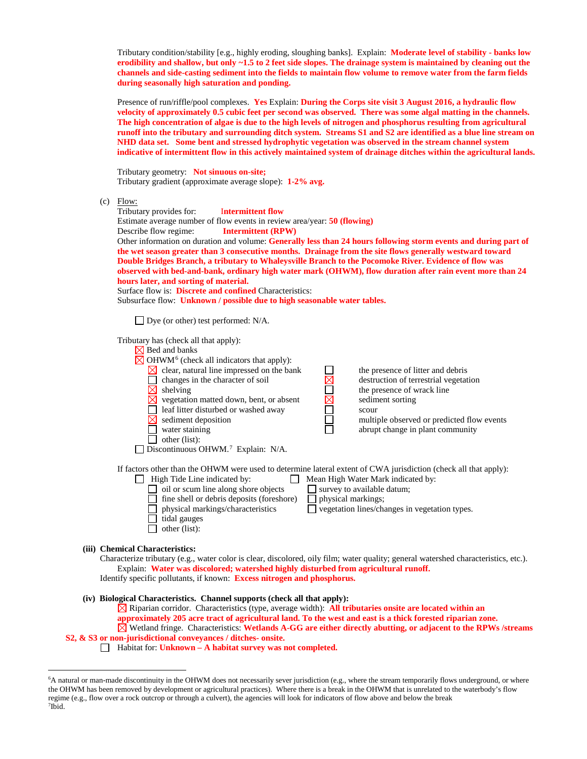Tributary condition/stability [e.g., highly eroding, sloughing banks]. Explain: **Moderate level of stability - banks low erodibility and shallow, but only ~1.5 to 2 feet side slopes. The drainage system is maintained by cleaning out the channels and side-casting sediment into the fields to maintain flow volume to remove water from the farm fields during seasonally high saturation and ponding.**

Presence of run/riffle/pool complexes. **Yes** Explain: **During the Corps site visit 3 August 2016, a hydraulic flow velocity of approximately 0.5 cubic feet per second was observed. There was some algal matting in the channels. The high concentration of algae is due to the high levels of nitrogen and phosphorus resulting from agricultural runoff into the tributary and surrounding ditch system. Streams S1 and S2 are identified as a blue line stream on NHD data set. Some bent and stressed hydrophytic vegetation was observed in the stream channel system indicative of intermittent flow in this actively maintained system of drainage ditches within the agricultural lands.**

Tributary geometry: **Not sinuous on-site;** Tributary gradient (approximate average slope): **1-2% avg.** 

 $(c)$  Flow:

Tributary provides for: I**ntermittent flow**  Estimate average number of flow events in review area/year: **50 (flowing)** Describe flow regime: **Intermittent (RPW)** Other information on duration and volume: **Generally less than 24 hours following storm events and during part of the wet season greater than 3 consecutive months. Drainage from the site flows generally westward toward Double Bridges Branch, a tributary to Whaleysville Branch to the Pocomoke River. Evidence of flow was observed with bed-and-bank, ordinary high water mark (OHWM), flow duration after rain event more than 24 hours later, and sorting of material.**  Surface flow is: **Discrete and confined** Characteristics: Subsurface flow: **Unknown / possible due to high seasonable water tables.**  $\Box$  Dye (or other) test performed: N/A. Tributary has (check all that apply):  $\boxtimes$  Bed and banks  $\boxtimes$  OHWM<sup>[6](#page-4-0)</sup> (check all indicators that apply):  $\boxtimes$  clear, natural line impressed on the bank the presence of litter and debris Changes in the character of soil<br>  $\boxtimes$  destruction of terrestrial vegetation<br>  $\boxtimes$  selection matted down, bent, or absent<br>
Leaf litter disturbed or washed away<br>  $\boxtimes$  sediment sorting<br>
scour<br>
multiple observed or predict  $\Box$  shelving the presence of wrack line  $\boxtimes$ vegetation matted down, bent, or absent  $\boxtimes$  sediment sorting  $\Box$ leaf litter disturbed or washed away scour  $\boxtimes$ sediment deposition multiple observed or predicted flow events water staining abrupt change in plant community  $\Box$  other (list):  $\Box$  Discontinuous OHWM.<sup>7</sup> Explain: N/A. If factors other than the OHWM were used to determine lateral extent of CWA jurisdiction (check all that apply):  $\Box$  High Tide Line indicated by:  $\Box$  Mean High Water Mark indicated by:  $\Box$  oil or scum line along shore objects  $\Box$  survey to available datum;  $\Box$  oil or scum line along shore objects

 $\Box$  fine shell or debris deposits (foreshore)  $\Box$  physical markings; physical markings/characteristics vegetation lines/changes in vegetation types.  $\Box$  tidal gauges  $\Box$  other (list):

# **(iii) Chemical Characteristics:**

Characterize tributary (e.g., water color is clear, discolored, oily film; water quality; general watershed characteristics, etc.). Explain: **Water was discolored; watershed highly disturbed from agricultural runoff.**  Identify specific pollutants, if known: **Excess nitrogen and phosphorus.**

#### **(iv) Biological Characteristics. Channel supports (check all that apply):**

Riparian corridor. Characteristics (type, average width): **All tributaries onsite are located within an approximately 205 acre tract of agricultural land. To the west and east is a thick forested riparian zone.** Wetland fringe. Characteristics: **Wetlands A-GG are either directly abutting, or adjacent to the RPWs /streams S2, & S3 or non-jurisdictional conveyances / ditches- onsite.** 

Habitat for: **Unknown – A habitat survey was not completed.**

<span id="page-4-1"></span><span id="page-4-0"></span> <sup>6</sup> <sup>6</sup>A natural or man-made discontinuity in the OHWM does not necessarily sever jurisdiction (e.g., where the stream temporarily flows underground, or where the OHWM has been removed by development or agricultural practices). Where there is a break in the OHWM that is unrelated to the waterbody's flow regime (e.g., flow over a rock outcrop or through a culvert), the agencies will look for indicators of flow above and below the break 7 Ibid.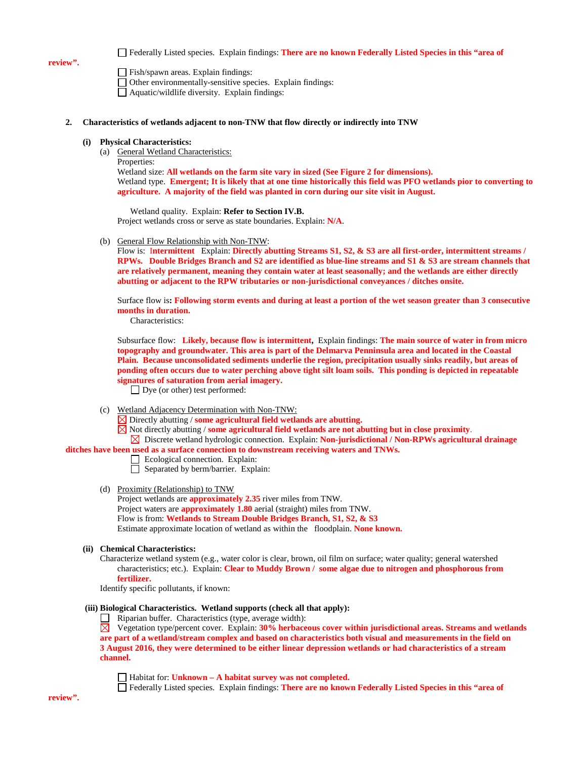#### **review".**

Federally Listed species. Explain findings: **There are no known Federally Listed Species in this "area of** 

Fish/spawn areas. Explain findings: Other environmentally-sensitive species. Explain findings: Aquatic/wildlife diversity. Explain findings:

#### **2. Characteristics of wetlands adjacent to non-TNW that flow directly or indirectly into TNW**

#### **(i) Physical Characteristics:**

(a) General Wetland Characteristics:

Properties:

Wetland size: **All wetlands on the farm site vary in sized (See Figure 2 for dimensions).** Wetland type. **Emergent; It is likely that at one time historically this field was PFO wetlands pior to converting to agriculture. A majority of the field was planted in corn during our site visit in August.**

Wetland quality. Explain: **Refer to Section IV.B.** Project wetlands cross or serve as state boundaries. Explain: **N/A**.

(b) General Flow Relationship with Non-TNW:

Flow is: I**ntermittent** Explain: **Directly abutting Streams S1, S2, & S3 are all first-order, intermittent streams / RPWs. Double Bridges Branch and S2 are identified as blue-line streams and S1 & S3 are stream channels that are relatively permanent, meaning they contain water at least seasonally; and the wetlands are either directly abutting or adjacent to the RPW tributaries or non-jurisdictional conveyances / ditches onsite.** 

Surface flow is**: Following storm events and during at least a portion of the wet season greater than 3 consecutive months in duration.** 

Characteristics:

Subsurface flow: **Likely, because flow is intermittent,** Explain findings: **The main source of water in from micro topography and groundwater. This area is part of the Delmarva Penninsula area and located in the Coastal Plain. Because unconsolidated sediments underlie the region, precipitation usually sinks readily, but areas of ponding often occurs due to water perching above tight silt loam soils. This ponding is depicted in repeatable signatures of saturation from aerial imagery.**

□ Dye (or other) test performed:

- (c) Wetland Adjacency Determination with Non-TNW:
	- Directly abutting / **some agricultural field wetlands are abutting.**
	- $\boxtimes$  Not directly abutting / **some agricultural field wetlands are not abutting but in close proximity**.
- Discrete wetland hydrologic connection. Explain: **Non-jurisdictional / Non-RPWs agricultural drainage ditches have been used as a surface connection to downstream receiving waters and TNWs.** 
	- Ecological connection. Explain:
	- Separated by berm/barrier. Explain:

#### (d) Proximity (Relationship) to TNW

Project wetlands are **approximately 2.35** river miles from TNW. Project waters are **approximately 1.80** aerial (straight) miles from TNW. Flow is from: **Wetlands to Stream Double Bridges Branch, S1, S2, & S3**  Estimate approximate location of wetland as within the floodplain. **None known.**

#### **(ii) Chemical Characteristics:**

Characterize wetland system (e.g., water color is clear, brown, oil film on surface; water quality; general watershed characteristics; etc.). Explain: **Clear to Muddy Brown / some algae due to nitrogen and phosphorous from fertilizer.**

Identify specific pollutants, if known:

#### **(iii) Biological Characteristics. Wetland supports (check all that apply):**

 $\Box$  Riparian buffer. Characteristics (type, average width):

Vegetation type/percent cover. Explain: **30% herbaceous cover within jurisdictional areas. Streams and wetlands are part of a wetland/stream complex and based on characteristics both visual and measurements in the field on 3 August 2016, they were determined to be either linear depression wetlands or had characteristics of a stream channel.** 

Habitat for: **Unknown – A habitat survey was not completed.**

Federally Listed species. Explain findings: **There are no known Federally Listed Species in this "area of**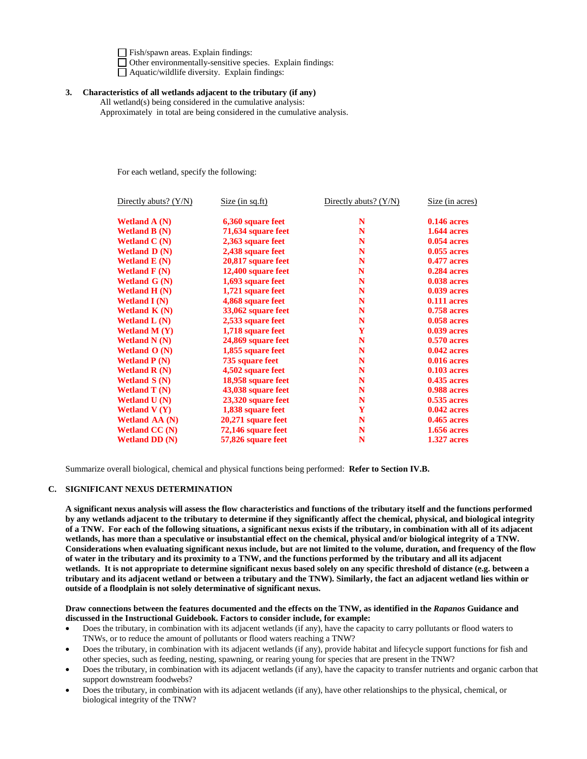Fish/spawn areas. Explain findings: Other environmentally-sensitive species. Explain findings:  $\Box$  Aquatic/wildlife diversity. Explain findings:

# **3. Characteristics of all wetlands adjacent to the tributary (if any)**

All wetland(s) being considered in the cumulative analysis: Approximately in total are being considered in the cumulative analysis.

For each wetland, specify the following:

| Directly abuts? $(Y/N)$           | Size (in sq.ft)    |   | Size (in acres)    |
|-----------------------------------|--------------------|---|--------------------|
| Wetland $A(N)$                    | 6,360 square feet  | N | $0.146$ acres      |
| <b>Wetland B</b> $(N)$            | 71,634 square feet | N | <b>1.644 acres</b> |
| Wetland $C(N)$                    | 2,363 square feet  | N | $0.054$ acres      |
| Wetland $D(N)$                    | 2,438 square feet  | N | $0.055$ acres      |
| Wetland $E(N)$                    | 20,817 square feet | N | <b>0.477 acres</b> |
| Wetland $F(N)$                    | 12,400 square feet | N | <b>0.284 acres</b> |
| Wetland $G(N)$                    | 1,693 square feet  | N | <b>0.038 acres</b> |
| Wetland $H(N)$                    | 1,721 square feet  | N | <b>0.039 acres</b> |
| <b>Wetland I</b> $(N)$            | 4,868 square feet  | N | $0.111$ acres      |
| Wetland $K(N)$                    | 33,062 square feet | N | <b>0.758 acres</b> |
| Wetland $L(N)$                    | 2,533 square feet  | N | <b>0.058 acres</b> |
| <b>Wetland M (Y)</b>              | 1,718 square feet  | Y | <b>0.039 acres</b> |
| <b>Wetland N</b> $(N)$            | 24,869 square feet | N | 0.570 acres        |
| Wetland $O(N)$                    | 1,855 square feet  | N | $0.042$ acres      |
| <b>Wetland P</b> $(N)$            | 735 square feet    | N | <b>0.016 acres</b> |
| <b>Wetland R <math>(N)</math></b> | 4,502 square feet  | N | $0.103$ acres      |
| <b>Wetland S</b> $(N)$            | 18,958 square feet | N | <b>0.435 acres</b> |
| Wetland $T(N)$                    | 43,038 square feet | N | <b>0.988 acres</b> |
| Wetland $U(N)$                    | 23,320 square feet | N | $0.535$ acres      |
| Wetland $V(Y)$                    | 1,838 square feet  | Y | $0.042$ acres      |
| <b>Wetland AA (N)</b>             | 20,271 square feet | N | $0.465$ acres      |
| <b>Wetland CC (N)</b>             | 72,146 square feet | N | <b>1.656 acres</b> |
| <b>Wetland DD (N)</b>             | 57,826 square feet | N | <b>1.327 acres</b> |

Summarize overall biological, chemical and physical functions being performed: **Refer to Section IV.B.**

# **C. SIGNIFICANT NEXUS DETERMINATION**

**A significant nexus analysis will assess the flow characteristics and functions of the tributary itself and the functions performed by any wetlands adjacent to the tributary to determine if they significantly affect the chemical, physical, and biological integrity of a TNW. For each of the following situations, a significant nexus exists if the tributary, in combination with all of its adjacent wetlands, has more than a speculative or insubstantial effect on the chemical, physical and/or biological integrity of a TNW. Considerations when evaluating significant nexus include, but are not limited to the volume, duration, and frequency of the flow of water in the tributary and its proximity to a TNW, and the functions performed by the tributary and all its adjacent wetlands. It is not appropriate to determine significant nexus based solely on any specific threshold of distance (e.g. between a tributary and its adjacent wetland or between a tributary and the TNW). Similarly, the fact an adjacent wetland lies within or outside of a floodplain is not solely determinative of significant nexus.** 

**Draw connections between the features documented and the effects on the TNW, as identified in the** *Rapanos* **Guidance and discussed in the Instructional Guidebook. Factors to consider include, for example:**

- Does the tributary, in combination with its adjacent wetlands (if any), have the capacity to carry pollutants or flood waters to TNWs, or to reduce the amount of pollutants or flood waters reaching a TNW?
- Does the tributary, in combination with its adjacent wetlands (if any), provide habitat and lifecycle support functions for fish and other species, such as feeding, nesting, spawning, or rearing young for species that are present in the TNW?
- Does the tributary, in combination with its adjacent wetlands (if any), have the capacity to transfer nutrients and organic carbon that support downstream foodwebs?
- Does the tributary, in combination with its adjacent wetlands (if any), have other relationships to the physical, chemical, or biological integrity of the TNW?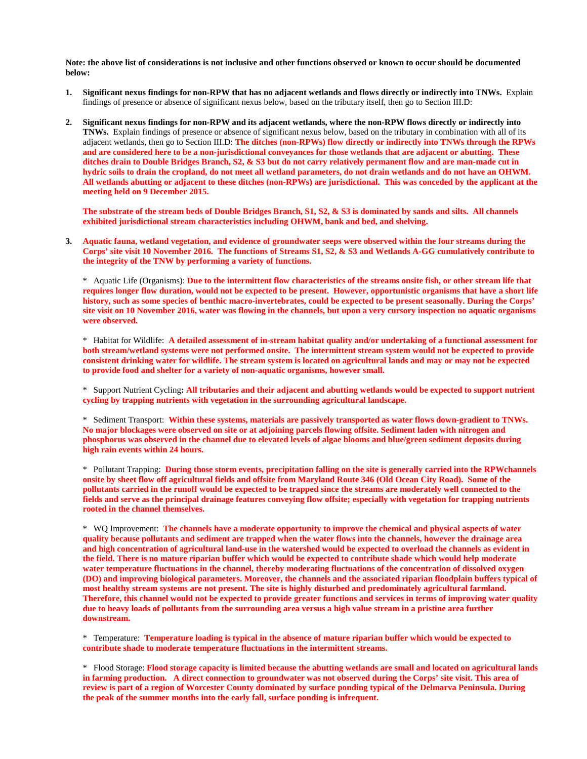**Note: the above list of considerations is not inclusive and other functions observed or known to occur should be documented below:**

- **1. Significant nexus findings for non-RPW that has no adjacent wetlands and flows directly or indirectly into TNWs.** Explain findings of presence or absence of significant nexus below, based on the tributary itself, then go to Section III.D:
- **2. Significant nexus findings for non-RPW and its adjacent wetlands, where the non-RPW flows directly or indirectly into TNWs.** Explain findings of presence or absence of significant nexus below, based on the tributary in combination with all of its adjacent wetlands, then go to Section III.D: **The ditches (non-RPWs) flow directly or indirectly into TNWs through the RPWs and are considered here to be a non-jurisdictional conveyances for those wetlands that are adjacent or abutting. These ditches drain to Double Bridges Branch, S2, & S3 but do not carry relatively permanent flow and are man-made cut in hydric soils to drain the cropland, do not meet all wetland parameters, do not drain wetlands and do not have an OHWM. All wetlands abutting or adjacent to these ditches (non-RPWs) are jurisdictional. This was conceded by the applicant at the meeting held on 9 December 2015.**

**The substrate of the stream beds of Double Bridges Branch, S1, S2, & S3 is dominated by sands and silts. All channels exhibited jurisdictional stream characteristics including OHWM, bank and bed, and shelving.**

**3. Aquatic fauna, wetland vegetation, and evidence of groundwater seeps were observed within the four streams during the Corps' site visit 10 November 2016. The functions of Streams S1, S2, & S3 and Wetlands A-GG cumulatively contribute to the integrity of the TNW by performing a variety of functions.** 

\* Aquatic Life (Organisms): **Due to the intermittent flow characteristics of the streams onsite fish, or other stream life that requires longer flow duration, would not be expected to be present. However, opportunistic organisms that have a short life history, such as some species of benthic macro-invertebrates, could be expected to be present seasonally. During the Corps' site visit on 10 November 2016, water was flowing in the channels, but upon a very cursory inspection no aquatic organisms were observed.** 

\* Habitat for Wildlife: **A detailed assessment of in-stream habitat quality and/or undertaking of a functional assessment for both stream/wetland systems were not performed onsite. The intermittent stream system would not be expected to provide consistent drinking water for wildlife. The stream system is located on agricultural lands and may or may not be expected to provide food and shelter for a variety of non-aquatic organisms, however small.** 

\* Support Nutrient Cycling**: All tributaries and their adjacent and abutting wetlands would be expected to support nutrient cycling by trapping nutrients with vegetation in the surrounding agricultural landscape.** 

\* Sediment Transport: **Within these systems, materials are passively transported as water flows down-gradient to TNWs. No major blockages were observed on site or at adjoining parcels flowing offsite. Sediment laden with nitrogen and phosphorus was observed in the channel due to elevated levels of algae blooms and blue/green sediment deposits during high rain events within 24 hours.** 

\* Pollutant Trapping: **During those storm events, precipitation falling on the site is generally carried into the RPWchannels onsite by sheet flow off agricultural fields and offsite from Maryland Route 346 (Old Ocean City Road). Some of the pollutants carried in the runoff would be expected to be trapped since the streams are moderately well connected to the fields and serve as the principal drainage features conveying flow offsite; especially with vegetation for trapping nutrients rooted in the channel themselves.** 

\* WQ Improvement: **The channels have a moderate opportunity to improve the chemical and physical aspects of water quality because pollutants and sediment are trapped when the water flows into the channels, however the drainage area and high concentration of agricultural land-use in the watershed would be expected to overload the channels as evident in the field. There is no mature riparian buffer which would be expected to contribute shade which would help moderate water temperature fluctuations in the channel, thereby moderating fluctuations of the concentration of dissolved oxygen (DO) and improving biological parameters. Moreover, the channels and the associated riparian floodplain buffers typical of most healthy stream systems are not present. The site is highly disturbed and predominately agricultural farmland. Therefore, this channel would not be expected to provide greater functions and services in terms of improving water quality due to heavy loads of pollutants from the surrounding area versus a high value stream in a pristine area further downstream.**

\* Temperature: **Temperature loading is typical in the absence of mature riparian buffer which would be expected to contribute shade to moderate temperature fluctuations in the intermittent streams.** 

\* Flood Storage: **Flood storage capacity is limited because the abutting wetlands are small and located on agricultural lands in farming production. A direct connection to groundwater was not observed during the Corps' site visit. This area of review is part of a region of Worcester County dominated by surface ponding typical of the Delmarva Peninsula. During the peak of the summer months into the early fall, surface ponding is infrequent.**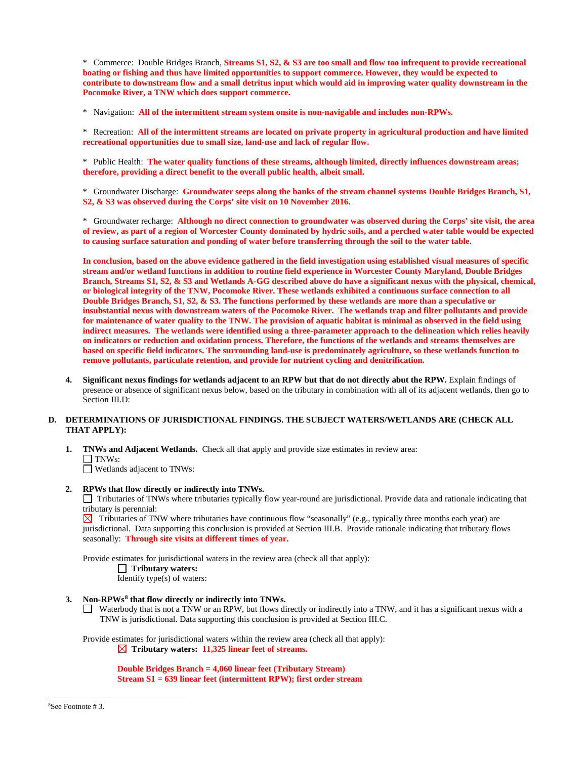\* Commerce: Double Bridges Branch, **Streams S1, S2, & S3 are too small and flow too infrequent to provide recreational boating or fishing and thus have limited opportunities to support commerce. However, they would be expected to contribute to downstream flow and a small detritus input which would aid in improving water quality downstream in the Pocomoke River, a TNW which does support commerce.** 

\* Navigation: **All of the intermittent stream system onsite is non-navigable and includes non-RPWs.** 

\* Recreation: **All of the intermittent streams are located on private property in agricultural production and have limited recreational opportunities due to small size, land-use and lack of regular flow.** 

\* Public Health: **The water quality functions of these streams, although limited, directly influences downstream areas; therefore, providing a direct benefit to the overall public health, albeit small.**

\* Groundwater Discharge: **Groundwater seeps along the banks of the stream channel systems Double Bridges Branch, S1, S2, & S3 was observed during the Corps' site visit on 10 November 2016.** 

\* Groundwater recharge: **Although no direct connection to groundwater was observed during the Corps' site visit, the area of review, as part of a region of Worcester County dominated by hydric soils, and a perched water table would be expected to causing surface saturation and ponding of water before transferring through the soil to the water table.** 

**In conclusion, based on the above evidence gathered in the field investigation using established visual measures of specific stream and/or wetland functions in addition to routine field experience in Worcester County Maryland, Double Bridges Branch, Streams S1, S2, & S3 and Wetlands A-GG described above do have a significant nexus with the physical, chemical, or biological integrity of the TNW, Pocomoke River. These wetlands exhibited a continuous surface connection to all Double Bridges Branch, S1, S2, & S3. The functions performed by these wetlands are more than a speculative or insubstantial nexus with downstream waters of the Pocomoke River. The wetlands trap and filter pollutants and provide for maintenance of water quality to the TNW. The provision of aquatic habitat is minimal as observed in the field using indirect measures. The wetlands were identified using a three-parameter approach to the delineation which relies heavily on indicators or reduction and oxidation process. Therefore, the functions of the wetlands and streams themselves are based on specific field indicators. The surrounding land-use is predominately agriculture, so these wetlands function to remove pollutants, particulate retention, and provide for nutrient cycling and denitrification.** 

**4. Significant nexus findings for wetlands adjacent to an RPW but that do not directly abut the RPW.** Explain findings of presence or absence of significant nexus below, based on the tributary in combination with all of its adjacent wetlands, then go to Section III.D:

### **D. DETERMINATIONS OF JURISDICTIONAL FINDINGS. THE SUBJECT WATERS/WETLANDS ARE (CHECK ALL THAT APPLY):**

**1. TNWs and Adjacent Wetlands.** Check all that apply and provide size estimates in review area:  $\Box$  TNWs:

Wetlands adjacent to TNWs:

# **2. RPWs that flow directly or indirectly into TNWs.**

Tributaries of TNWs where tributaries typically flow year-round are jurisdictional. Provide data and rationale indicating that tributary is perennial:

 $\boxtimes$  Tributaries of TNW where tributaries have continuous flow "seasonally" (e.g., typically three months each year) are jurisdictional. Data supporting this conclusion is provided at Section III.B. Provide rationale indicating that tributary flows seasonally: **Through site visits at different times of year.**

Provide estimates for jurisdictional waters in the review area (check all that apply):

 **Tributary waters:**

Identify type(s) of waters:

**3. Non-RPWs[8](#page-8-0) that flow directly or indirectly into TNWs.**

Waterbody that is not a TNW or an RPW, but flows directly or indirectly into a TNW, and it has a significant nexus with a TNW is jurisdictional. Data supporting this conclusion is provided at Section III.C.

Provide estimates for jurisdictional waters within the review area (check all that apply): **Tributary waters: 11,325 linear feet of streams.**

> **Double Bridges Branch = 4,060 linear feet (Tributary Stream) Stream S1 = 639 linear feet (intermittent RPW); first order stream**

<span id="page-8-0"></span> $\frac{1}{8}$ See Footnote # 3.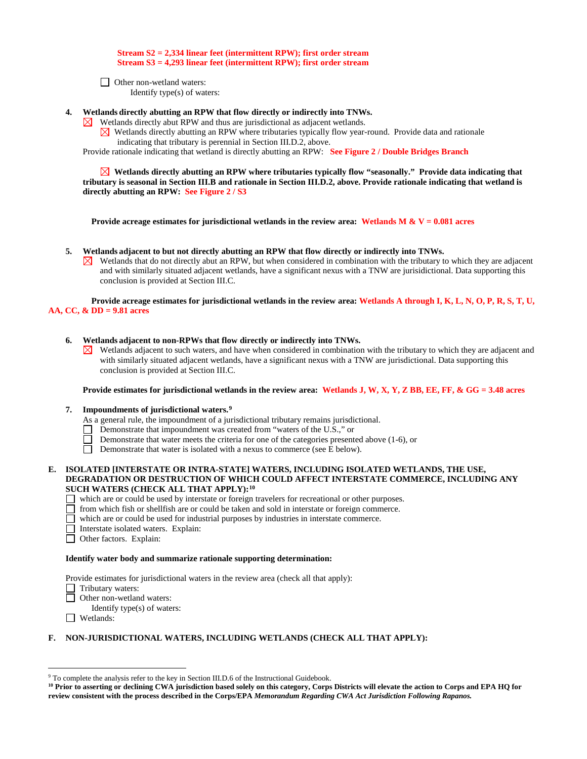#### **Stream S2 = 2,334 linear feet (intermittent RPW); first order stream Stream S3 = 4,293 linear feet (intermittent RPW); first order stream**

**D** Other non-wetland waters: Identify type(s) of waters:

- **4. Wetlands directly abutting an RPW that flow directly or indirectly into TNWs.** 
	- Wetlands directly abut RPW and thus are jurisdictional as adjacent wetlands.  $\bowtie$ 
		- $\boxtimes$  Wetlands directly abutting an RPW where tributaries typically flow year-round. Provide data and rationale indicating that tributary is perennial in Section III.D.2, above.

Provide rationale indicating that wetland is directly abutting an RPW: **See Figure 2 / Double Bridges Branch**

 **Wetlands directly abutting an RPW where tributaries typically flow "seasonally." Provide data indicating that tributary is seasonal in Section III.B and rationale in Section III.D.2, above. Provide rationale indicating that wetland is directly abutting an RPW: See Figure 2 / S3** 

**Provide acreage estimates for jurisdictional wetlands in the review area: Wetlands M & V = 0.081 acres**

- **5. Wetlands adjacent to but not directly abutting an RPW that flow directly or indirectly into TNWs.**
	- $\boxtimes$  Wetlands that do not directly abut an RPW, but when considered in combination with the tributary to which they are adjacent and with similarly situated adjacent wetlands, have a significant nexus with a TNW are jurisidictional. Data supporting this conclusion is provided at Section III.C.

**Provide acreage estimates for jurisdictional wetlands in the review area: Wetlands A through I, K, L, N, O, P, R, S, T, U, AA, CC, & DD = 9.81 acres**

#### **6. Wetlands adjacent to non-RPWs that flow directly or indirectly into TNWs.**

 $\boxtimes$  Wetlands adjacent to such waters, and have when considered in combination with the tributary to which they are adjacent and with similarly situated adjacent wetlands, have a significant nexus with a TNW are jurisdictional. Data supporting this conclusion is provided at Section III.C.

**Provide estimates for jurisdictional wetlands in the review area: Wetlands J, W, X, Y, Z BB, EE, FF, & GG = 3.48 acres**

#### **7. Impoundments of jurisdictional waters.[9](#page-9-0)**

- As a general rule, the impoundment of a jurisdictional tributary remains jurisdictional.
- Demonstrate that impoundment was created from "waters of the U.S.," or
- Demonstrate that water meets the criteria for one of the categories presented above (1-6), or
- $\Box$ Demonstrate that water is isolated with a nexus to commerce (see E below).

#### **E. ISOLATED [INTERSTATE OR INTRA-STATE] WATERS, INCLUDING ISOLATED WETLANDS, THE USE, DEGRADATION OR DESTRUCTION OF WHICH COULD AFFECT INTERSTATE COMMERCE, INCLUDING ANY SUCH WATERS (CHECK ALL THAT APPLY):[10](#page-9-1)**

- which are or could be used by interstate or foreign travelers for recreational or other purposes.
- $\Box$  from which fish or shellfish are or could be taken and sold in interstate or foreign commerce.
- which are or could be used for industrial purposes by industries in interstate commerce.
- Interstate isolated waters.Explain:
- Other factors.Explain:

#### **Identify water body and summarize rationale supporting determination:**

Provide estimates for jurisdictional waters in the review area (check all that apply):

- □ Tributary waters:<br>□ Other non-wetlan
	- Other non-wetland waters:
	- Identify type(s) of waters:
- Wetlands:

#### **F. NON-JURISDICTIONAL WATERS, INCLUDING WETLANDS (CHECK ALL THAT APPLY):**

<span id="page-9-0"></span> <sup>9</sup> To complete the analysis refer to the key in Section III.D.6 of the Instructional Guidebook.

<span id="page-9-1"></span>**<sup>10</sup> Prior to asserting or declining CWA jurisdiction based solely on this category, Corps Districts will elevate the action to Corps and EPA HQ for review consistent with the process described in the Corps/EPA** *Memorandum Regarding CWA Act Jurisdiction Following Rapanos.*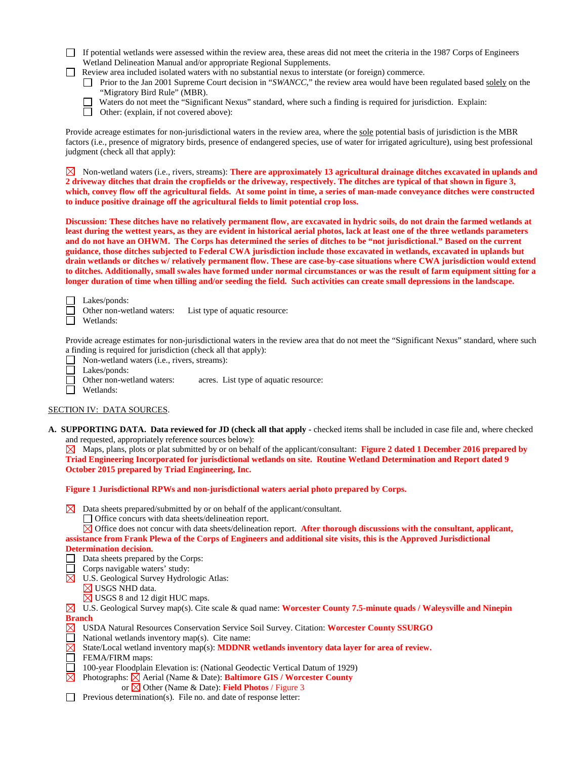| If potential wetlands were assessed within the review area, these areas did not meet the criteria in the 1987 Corps of Engineers |
|----------------------------------------------------------------------------------------------------------------------------------|
| Wetland Delineation Manual and/or appropriate Regional Supplements.                                                              |
| Review area included isolated waters with no substantial nexus to interstate (or foreign) commerce.                              |
| Prior to the Jan 2001 Supreme Court decision in "SWANCC" the review area would have been regulated based solely on the           |

- Prior to the Jan 2001 Supreme Court decision in "*SWANCC*," the review area would have been regulated based solely on the "Migratory Bird Rule" (MBR).
- Waters do not meet the "Significant Nexus" standard, where such a finding is required for jurisdiction. Explain:
- Other: (explain, if not covered above):

Provide acreage estimates for non-jurisdictional waters in the review area, where the sole potential basis of jurisdiction is the MBR factors (i.e., presence of migratory birds, presence of endangered species, use of water for irrigated agriculture), using best professional judgment (check all that apply):

Non-wetland waters (i.e., rivers, streams): **There are approximately 13 agricultural drainage ditches excavated in uplands and 2 driveway ditches that drain the cropfields or the driveway, respectively. The ditches are typical of that shown in figure 3, which, convey flow off the agricultural fields. At some point in time, a series of man-made conveyance ditches were constructed to induce positive drainage off the agricultural fields to limit potential crop loss.** 

**Discussion: These ditches have no relatively permanent flow, are excavated in hydric soils, do not drain the farmed wetlands at least during the wettest years, as they are evident in historical aerial photos, lack at least one of the three wetlands parameters and do not have an OHWM. The Corps has determined the series of ditches to be "not jurisdictional." Based on the current guidance, those ditches subjected to Federal CWA jurisdiction include those excavated in wetlands, excavated in uplands but drain wetlands or ditches w/ relatively permanent flow. These are case-by-case situations where CWA jurisdiction would extend to ditches. Additionally, small swales have formed under normal circumstances or was the result of farm equipment sitting for a longer duration of time when tilling and/or seeding the field. Such activities can create small depressions in the landscape.** 

Lakes/ponds:

- Other non-wetland waters: List type of aquatic resource:
- Wetlands:

Provide acreage estimates for non-jurisdictional waters in the review area that do not meet the "Significant Nexus" standard, where such a finding is required for jurisdiction (check all that apply):

- Non-wetland waters (i.e., rivers, streams): □
- Lakes/ponds:
	- Other non-wetland waters: acres. List type of aquatic resource:

П Wetlands:

# SECTION IV: DATA SOURCES.

**A. SUPPORTING DATA. Data reviewed for JD (check all that apply -** checked items shall be included in case file and, where checked and requested, appropriately reference sources below):

Maps, plans, plots or plat submitted by or on behalf of the applicant/consultant: **Figure 2 dated 1 December 2016 prepared by Triad Engineering Incorporated for jurisdictional wetlands on site. Routine Wetland Determination and Report dated 9 October 2015 prepared by Triad Engineering, Inc.**

**Figure 1 Jurisdictional RPWs and non-jurisdictional waters aerial photo prepared by Corps.** 

- $\boxtimes$  Data sheets prepared/submitted by or on behalf of the applicant/consultant.
	- $\Box$  Office concurs with data sheets/delineation report.

 $\boxtimes$  Office does not concur with data sheets/delineation report. **After thorough discussions with the consultant, applicant, assistance from Frank Plewa of the Corps of Engineers and additional site visits, this is the Approved Jurisdictional Determination decision.**

- Data sheets prepared by the Corps:
- $\Box$  Corps navigable waters' study:
- $\boxtimes$  U.S. Geological Survey Hydrologic Atlas: USGS NHD data.
	- $\boxtimes$  USGS 8 and 12 digit HUC maps.
	-
- U.S. Geological Survey map(s). Cite scale & quad name: **Worcester County 7.5-minute quads / Waleysville and Ninepin Branch**
- USDA Natural Resources Conservation Service Soil Survey. Citation: **Worcester County SSURGO**
- $\Box$ National wetlands inventory map(s). Cite name:
- State/Local wetland inventory map(s): **MDDNR wetlands inventory data layer for area of review.**
- FEMA/FIRM maps:
- 100-year Floodplain Elevation is: (National Geodectic Vertical Datum of 1929)
	- Photographs:  $\boxtimes$  Aerial (Name & Date): **Baltimore GIS / Worcester County** 
		- or Other (Name & Date): **Field Photos** / Figure 3
- $\Box$  Previous determination(s). File no. and date of response letter: